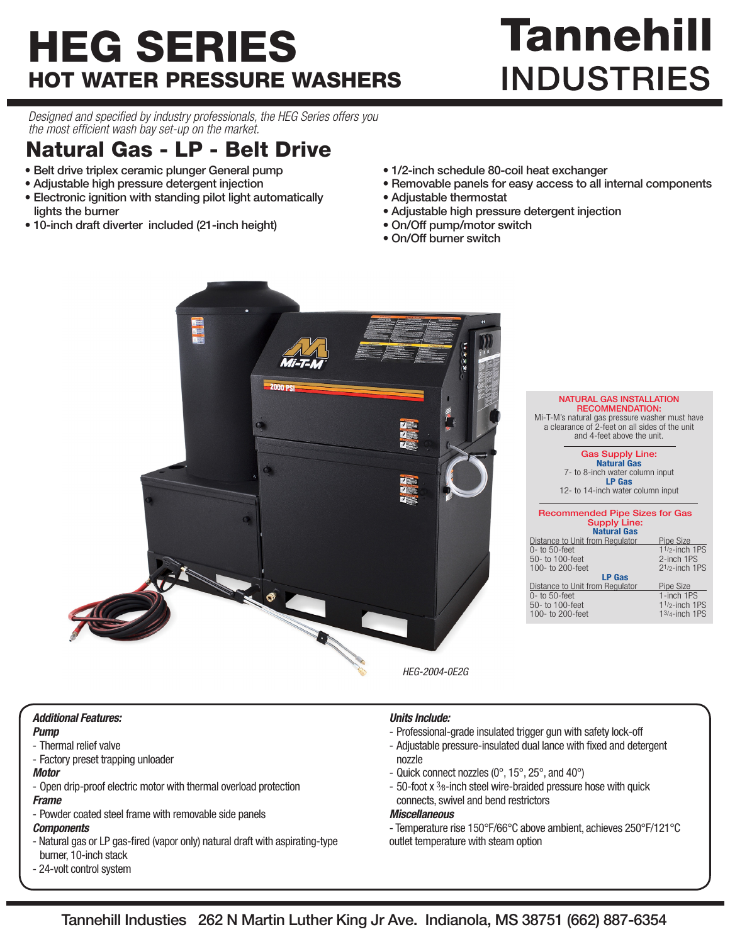# HEG SERIES HOT WATER PRESSURE WASHERS

# **Tannehill INDUSTRIES**

*Designed and specified by industry professionals, the HEG Series offers you the most efficient wash bay set-up on the market.*

## Natural Gas - LP - Belt Drive

- Belt drive triplex ceramic plunger General pump
- Adjustable high pressure detergent injection
- Electronic ignition with standing pilot light automatically lights the burner
- 10-inch draft diverter included (21-inch height)
- 1/2-inch schedule 80-coil heat exchanger
- Removable panels for easy access to all internal components
- Adjustable thermostat
- Adjustable high pressure detergent injection
- On/Off pump/motor switch
- On/Off burner switch



### NATURAL GAS INSTALLATION RECOMMENDATION:

Mi-T-M's natural gas pressure washer must have a clearance of 2-feet on all sides of the unit and 4-feet above the unit.

#### Gas Supply Line: Natural Gas 7- to 8-inch water column input LP Gas 12- to 14-inch water column input

#### Recommended Pipe Sizes for Gas Supply Line: Natural Gas

| Distance to Unit from Regulator | Pipe Size        |  |  |  |  |  |  |  |
|---------------------------------|------------------|--|--|--|--|--|--|--|
| $0-$ to 50-feet                 | $11/2$ -inch 1PS |  |  |  |  |  |  |  |
| 50- to 100-feet                 | 2-inch 1PS       |  |  |  |  |  |  |  |
| 100- to 200-feet                | $21/2$ -inch 1PS |  |  |  |  |  |  |  |
| <b>LP Gas</b>                   |                  |  |  |  |  |  |  |  |
| Distance to Unit from Regulator | Pipe Size        |  |  |  |  |  |  |  |
| $0-$ to 50-feet                 | 1-inch 1PS       |  |  |  |  |  |  |  |
| 50- to 100-feet                 | $11/2$ -inch 1PS |  |  |  |  |  |  |  |
| 100- to 200-feet                | $13/4$ -inch 1PS |  |  |  |  |  |  |  |
|                                 |                  |  |  |  |  |  |  |  |

*HEG-2004-0E2G*

#### *Additional Features:*

#### *Pump*

- Thermal relief valve
- Factory preset trapping unloader

#### *Motor*

- Open drip-proof electric motor with thermal overload protection

#### *Frame*

- Powder coated steel frame with removable side panels

#### *Components*

- Natural gas or LP gas-fired (vapor only) natural draft with aspirating-type burner, 10-inch stack
- 24-volt control system

#### *Units Include:*

- Professional-grade insulated trigger gun with safety lock-off
- Adjustable pressure-insulated dual lance with fixed and detergent nozzle
- Quick connect nozzles (0°, 15°, 25°, and 40°)
- 50-foot x 3⁄8-inch steel wire-braided pressure hose with quick connects, swivel and bend restrictors

#### *Miscellaneous*

- Temperature rise 150°F/66°C above ambient, achieves 250°F/121°C
- outlet temperature with steam option